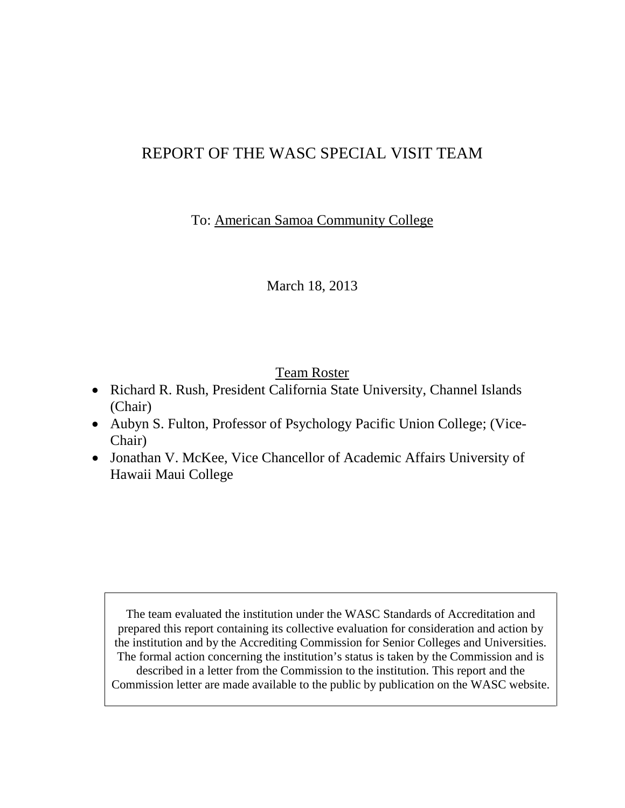# REPORT OF THE WASC SPECIAL VISIT TEAM

To: American Samoa Community College

March 18, 2013

# Team Roster

- Richard R. Rush, President California State University, Channel Islands (Chair)
- Aubyn S. Fulton, Professor of Psychology Pacific Union College; (Vice-Chair)
- Jonathan V. McKee, Vice Chancellor of Academic Affairs University of Hawaii Maui College

The team evaluated the institution under the WASC Standards of Accreditation and prepared this report containing its collective evaluation for consideration and action by the institution and by the Accrediting Commission for Senior Colleges and Universities. The formal action concerning the institution's status is taken by the Commission and is described in a letter from the Commission to the institution. This report and the Commission letter are made available to the public by publication on the WASC website.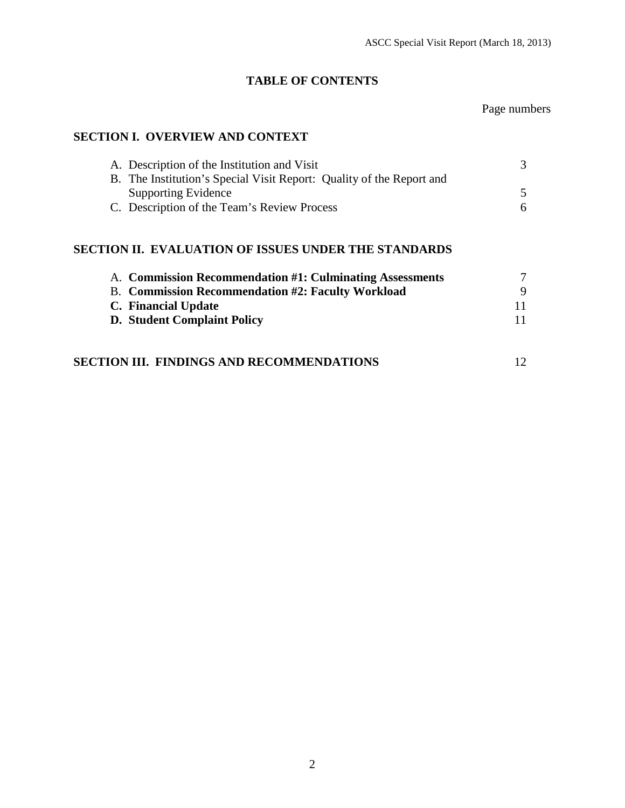# **TABLE OF CONTENTS**

### Page numbers

# **SECTION I. OVERVIEW AND CONTEXT**

| A. Description of the Institution and Visit                          |   |
|----------------------------------------------------------------------|---|
| B. The Institution's Special Visit Report: Quality of the Report and |   |
| <b>Supporting Evidence</b>                                           |   |
| C. Description of the Team's Review Process                          | 6 |

# **SECTION II. EVALUATION OF ISSUES UNDER THE STANDARDS**

| A. Commission Recommendation #1: Culminating Assessments |    |
|----------------------------------------------------------|----|
| <b>B.</b> Commission Recommendation #2: Faculty Workload |    |
| C. Financial Update                                      | 11 |
| <b>D.</b> Student Complaint Policy                       | 11 |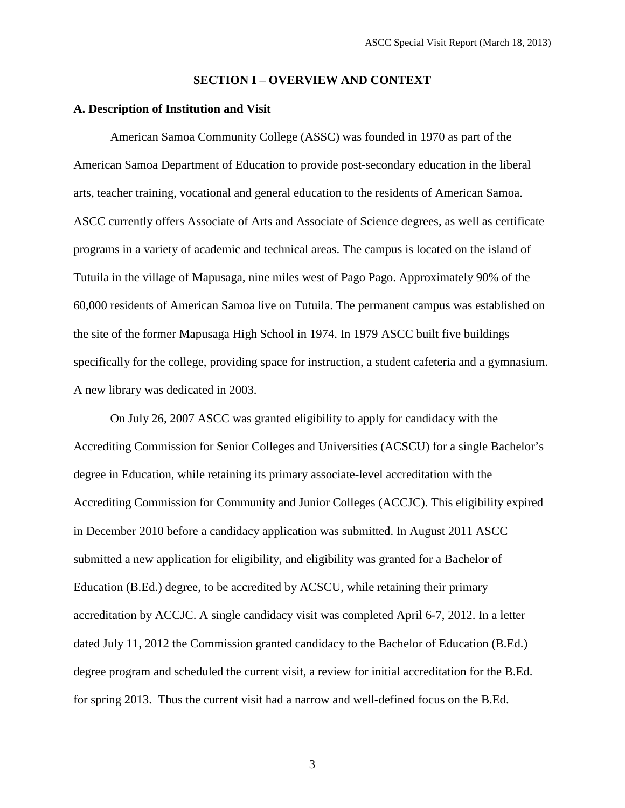#### **SECTION I** – **OVERVIEW AND CONTEXT**

#### **A. Description of Institution and Visit**

American Samoa Community College (ASSC) was founded in 1970 as part of the American Samoa Department of Education to provide post-secondary education in the liberal arts, teacher training, vocational and general education to the residents of American Samoa. ASCC currently offers Associate of Arts and Associate of Science degrees, as well as certificate programs in a variety of academic and technical areas. The campus is located on the island of Tutuila in the village of Mapusaga, nine miles west of Pago Pago. Approximately 90% of the 60,000 residents of American Samoa live on Tutuila. The permanent campus was established on the site of the former Mapusaga High School in 1974. In 1979 ASCC built five buildings specifically for the college, providing space for instruction, a student cafeteria and a gymnasium. A new library was dedicated in 2003.

On July 26, 2007 ASCC was granted eligibility to apply for candidacy with the Accrediting Commission for Senior Colleges and Universities (ACSCU) for a single Bachelor's degree in Education, while retaining its primary associate-level accreditation with the Accrediting Commission for Community and Junior Colleges (ACCJC). This eligibility expired in December 2010 before a candidacy application was submitted. In August 2011 ASCC submitted a new application for eligibility, and eligibility was granted for a Bachelor of Education (B.Ed.) degree, to be accredited by ACSCU, while retaining their primary accreditation by ACCJC. A single candidacy visit was completed April 6-7, 2012. In a letter dated July 11, 2012 the Commission granted candidacy to the Bachelor of Education (B.Ed.) degree program and scheduled the current visit, a review for initial accreditation for the B.Ed. for spring 2013. Thus the current visit had a narrow and well-defined focus on the B.Ed.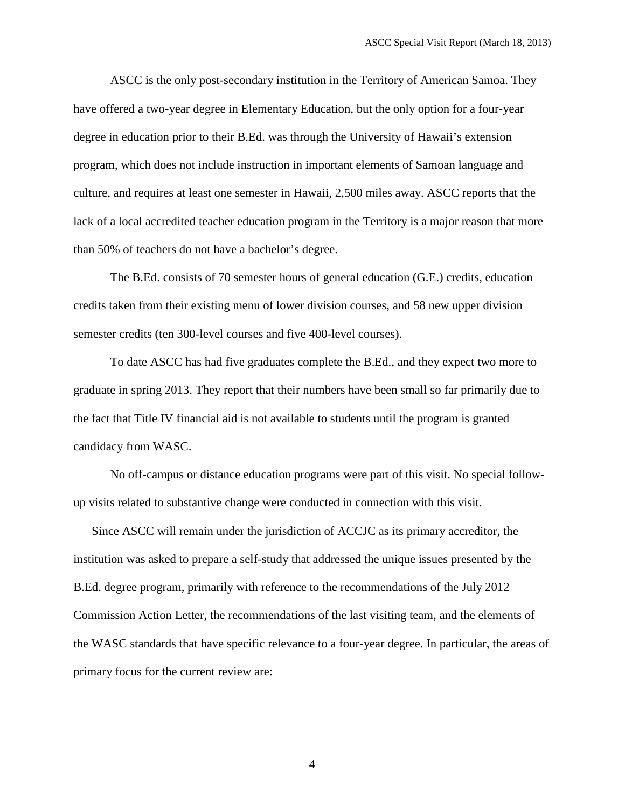ASCC is the only post-secondary institution in the Territory of American Samoa. They have offered a two-year degree in Elementary Education, but the only option for a four-year degree in education prior to their B.Ed. was through the University of Hawaii's extension program, which does not include instruction in important elements of Samoan language and culture, and requires at least one semester in Hawaii, 2,500 miles away. ASCC reports that the lack of a local accredited teacher education program in the Territory is a major reason that more than 50% of teachers do not have a bachelor's degree.

The B.Ed. consists of 70 semester hours of general education (G.E.) credits, education credits taken from their existing menu of lower division courses, and 58 new upper division semester credits (ten 300-level courses and five 400-level courses).

To date ASCC has had five graduates complete the B.Ed., and they expect two more to graduate in spring 2013. They report that their numbers have been small so far primarily due to the fact that Title IV financial aid is not available to students until the program is granted candidacy from WASC.

No off-campus or distance education programs were part of this visit. No special followup visits related to substantive change were conducted in connection with this visit.

Since ASCC will remain under the jurisdiction of ACCJC as its primary accreditor, the institution was asked to prepare a self-study that addressed the unique issues presented by the B.Ed. degree program, primarily with reference to the recommendations of the July 2012 Commission Action Letter, the recommendations of the last visiting team, and the elements of the WASC standards that have specific relevance to a four-year degree. In particular, the areas of primary focus for the current review are: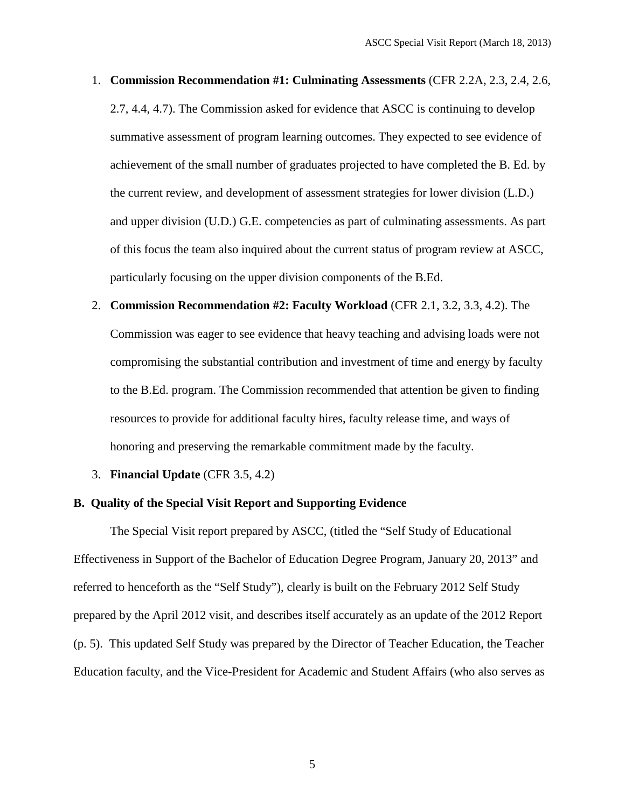- 1. **Commission Recommendation #1: Culminating Assessments** (CFR 2.2A, 2.3, 2.4, 2.6, 2.7, 4.4, 4.7). The Commission asked for evidence that ASCC is continuing to develop summative assessment of program learning outcomes. They expected to see evidence of achievement of the small number of graduates projected to have completed the B. Ed. by the current review, and development of assessment strategies for lower division (L.D.) and upper division (U.D.) G.E. competencies as part of culminating assessments. As part of this focus the team also inquired about the current status of program review at ASCC, particularly focusing on the upper division components of the B.Ed.
- 2. **Commission Recommendation #2: Faculty Workload** (CFR 2.1, 3.2, 3.3, 4.2). The Commission was eager to see evidence that heavy teaching and advising loads were not compromising the substantial contribution and investment of time and energy by faculty to the B.Ed. program. The Commission recommended that attention be given to finding resources to provide for additional faculty hires, faculty release time, and ways of honoring and preserving the remarkable commitment made by the faculty.
- 3. **Financial Update** (CFR 3.5, 4.2)

#### **B. Quality of the Special Visit Report and Supporting Evidence**

The Special Visit report prepared by ASCC, (titled the "Self Study of Educational Effectiveness in Support of the Bachelor of Education Degree Program, January 20, 2013" and referred to henceforth as the "Self Study"), clearly is built on the February 2012 Self Study prepared by the April 2012 visit, and describes itself accurately as an update of the 2012 Report (p. 5). This updated Self Study was prepared by the Director of Teacher Education, the Teacher Education faculty, and the Vice-President for Academic and Student Affairs (who also serves as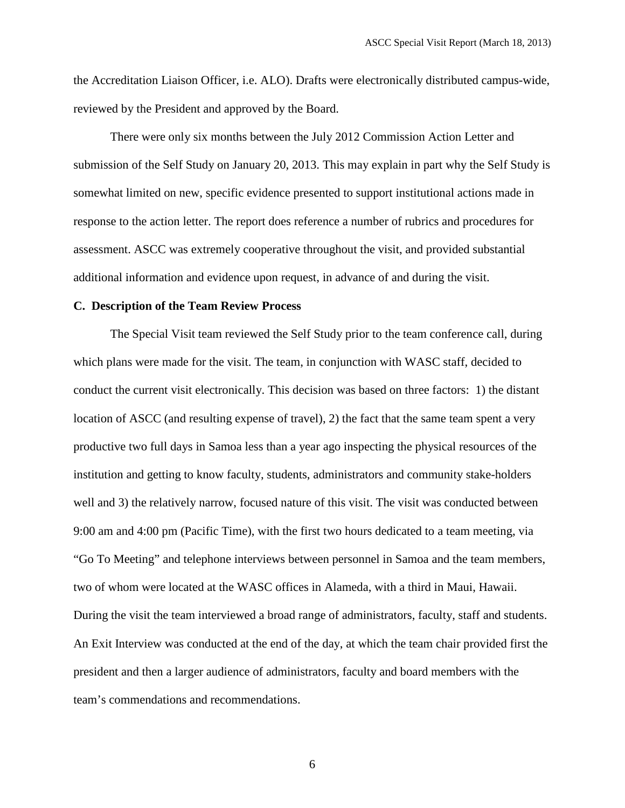the Accreditation Liaison Officer, i.e. ALO). Drafts were electronically distributed campus-wide, reviewed by the President and approved by the Board.

There were only six months between the July 2012 Commission Action Letter and submission of the Self Study on January 20, 2013. This may explain in part why the Self Study is somewhat limited on new, specific evidence presented to support institutional actions made in response to the action letter. The report does reference a number of rubrics and procedures for assessment. ASCC was extremely cooperative throughout the visit, and provided substantial additional information and evidence upon request, in advance of and during the visit.

#### **C. Description of the Team Review Process**

The Special Visit team reviewed the Self Study prior to the team conference call, during which plans were made for the visit. The team, in conjunction with WASC staff, decided to conduct the current visit electronically. This decision was based on three factors: 1) the distant location of ASCC (and resulting expense of travel), 2) the fact that the same team spent a very productive two full days in Samoa less than a year ago inspecting the physical resources of the institution and getting to know faculty, students, administrators and community stake-holders well and 3) the relatively narrow, focused nature of this visit. The visit was conducted between 9:00 am and 4:00 pm (Pacific Time), with the first two hours dedicated to a team meeting, via "Go To Meeting" and telephone interviews between personnel in Samoa and the team members, two of whom were located at the WASC offices in Alameda, with a third in Maui, Hawaii. During the visit the team interviewed a broad range of administrators, faculty, staff and students. An Exit Interview was conducted at the end of the day, at which the team chair provided first the president and then a larger audience of administrators, faculty and board members with the team's commendations and recommendations.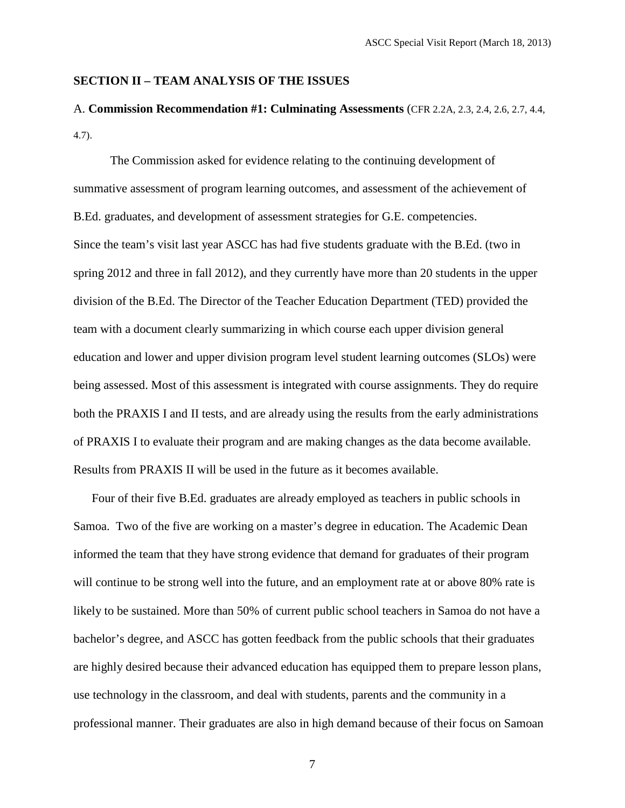### **SECTION II – TEAM ANALYSIS OF THE ISSUES**

# A. **Commission Recommendation #1: Culminating Assessments** (CFR 2.2A, 2.3, 2.4, 2.6, 2.7, 4.4, 4.7).

The Commission asked for evidence relating to the continuing development of summative assessment of program learning outcomes, and assessment of the achievement of B.Ed. graduates, and development of assessment strategies for G.E. competencies. Since the team's visit last year ASCC has had five students graduate with the B.Ed. (two in spring 2012 and three in fall 2012), and they currently have more than 20 students in the upper division of the B.Ed. The Director of the Teacher Education Department (TED) provided the team with a document clearly summarizing in which course each upper division general education and lower and upper division program level student learning outcomes (SLOs) were being assessed. Most of this assessment is integrated with course assignments. They do require both the PRAXIS I and II tests, and are already using the results from the early administrations of PRAXIS I to evaluate their program and are making changes as the data become available. Results from PRAXIS II will be used in the future as it becomes available.

Four of their five B.Ed. graduates are already employed as teachers in public schools in Samoa. Two of the five are working on a master's degree in education. The Academic Dean informed the team that they have strong evidence that demand for graduates of their program will continue to be strong well into the future, and an employment rate at or above 80% rate is likely to be sustained. More than 50% of current public school teachers in Samoa do not have a bachelor's degree, and ASCC has gotten feedback from the public schools that their graduates are highly desired because their advanced education has equipped them to prepare lesson plans, use technology in the classroom, and deal with students, parents and the community in a professional manner. Their graduates are also in high demand because of their focus on Samoan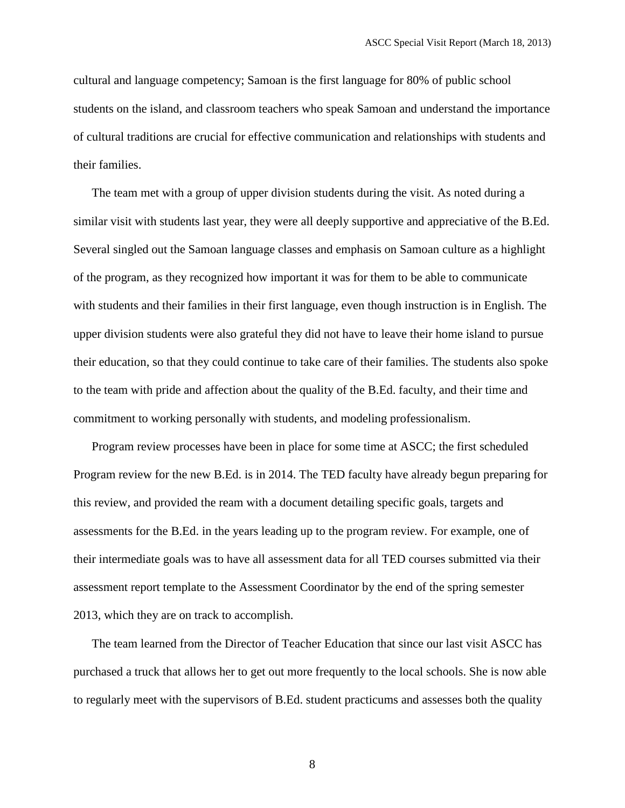cultural and language competency; Samoan is the first language for 80% of public school students on the island, and classroom teachers who speak Samoan and understand the importance of cultural traditions are crucial for effective communication and relationships with students and their families.

The team met with a group of upper division students during the visit. As noted during a similar visit with students last year, they were all deeply supportive and appreciative of the B.Ed. Several singled out the Samoan language classes and emphasis on Samoan culture as a highlight of the program, as they recognized how important it was for them to be able to communicate with students and their families in their first language, even though instruction is in English. The upper division students were also grateful they did not have to leave their home island to pursue their education, so that they could continue to take care of their families. The students also spoke to the team with pride and affection about the quality of the B.Ed. faculty, and their time and commitment to working personally with students, and modeling professionalism.

Program review processes have been in place for some time at ASCC; the first scheduled Program review for the new B.Ed. is in 2014. The TED faculty have already begun preparing for this review, and provided the ream with a document detailing specific goals, targets and assessments for the B.Ed. in the years leading up to the program review. For example, one of their intermediate goals was to have all assessment data for all TED courses submitted via their assessment report template to the Assessment Coordinator by the end of the spring semester 2013, which they are on track to accomplish.

The team learned from the Director of Teacher Education that since our last visit ASCC has purchased a truck that allows her to get out more frequently to the local schools. She is now able to regularly meet with the supervisors of B.Ed. student practicums and assesses both the quality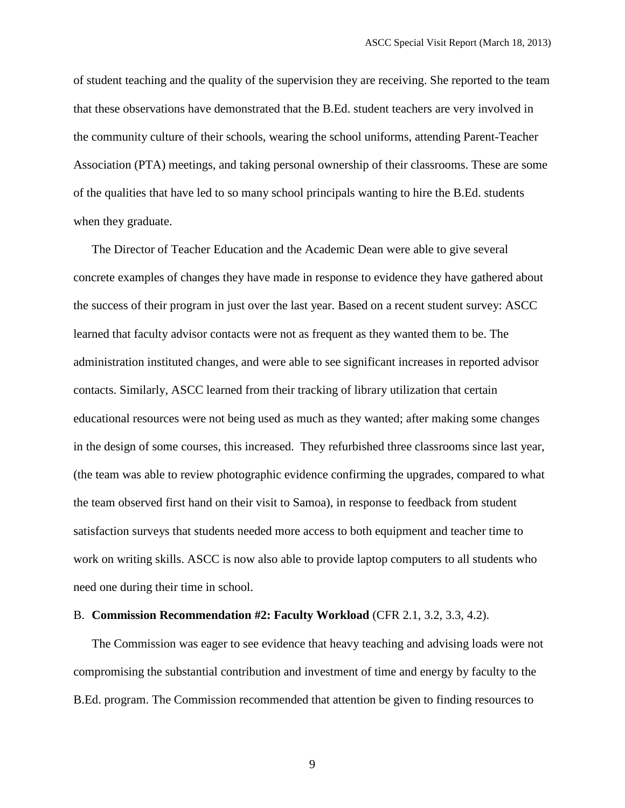of student teaching and the quality of the supervision they are receiving. She reported to the team that these observations have demonstrated that the B.Ed. student teachers are very involved in the community culture of their schools, wearing the school uniforms, attending Parent-Teacher Association (PTA) meetings, and taking personal ownership of their classrooms. These are some of the qualities that have led to so many school principals wanting to hire the B.Ed. students when they graduate.

The Director of Teacher Education and the Academic Dean were able to give several concrete examples of changes they have made in response to evidence they have gathered about the success of their program in just over the last year. Based on a recent student survey: ASCC learned that faculty advisor contacts were not as frequent as they wanted them to be. The administration instituted changes, and were able to see significant increases in reported advisor contacts. Similarly, ASCC learned from their tracking of library utilization that certain educational resources were not being used as much as they wanted; after making some changes in the design of some courses, this increased. They refurbished three classrooms since last year, (the team was able to review photographic evidence confirming the upgrades, compared to what the team observed first hand on their visit to Samoa), in response to feedback from student satisfaction surveys that students needed more access to both equipment and teacher time to work on writing skills. ASCC is now also able to provide laptop computers to all students who need one during their time in school.

#### B. **Commission Recommendation #2: Faculty Workload** (CFR 2.1, 3.2, 3.3, 4.2).

The Commission was eager to see evidence that heavy teaching and advising loads were not compromising the substantial contribution and investment of time and energy by faculty to the B.Ed. program. The Commission recommended that attention be given to finding resources to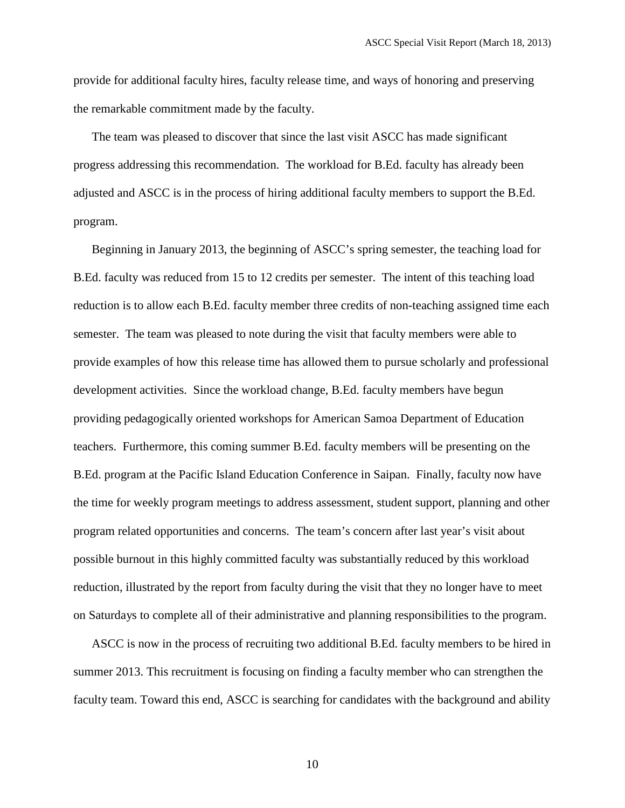provide for additional faculty hires, faculty release time, and ways of honoring and preserving the remarkable commitment made by the faculty.

The team was pleased to discover that since the last visit ASCC has made significant progress addressing this recommendation. The workload for B.Ed. faculty has already been adjusted and ASCC is in the process of hiring additional faculty members to support the B.Ed. program.

Beginning in January 2013, the beginning of ASCC's spring semester, the teaching load for B.Ed. faculty was reduced from 15 to 12 credits per semester. The intent of this teaching load reduction is to allow each B.Ed. faculty member three credits of non-teaching assigned time each semester. The team was pleased to note during the visit that faculty members were able to provide examples of how this release time has allowed them to pursue scholarly and professional development activities. Since the workload change, B.Ed. faculty members have begun providing pedagogically oriented workshops for American Samoa Department of Education teachers. Furthermore, this coming summer B.Ed. faculty members will be presenting on the B.Ed. program at the Pacific Island Education Conference in Saipan. Finally, faculty now have the time for weekly program meetings to address assessment, student support, planning and other program related opportunities and concerns. The team's concern after last year's visit about possible burnout in this highly committed faculty was substantially reduced by this workload reduction, illustrated by the report from faculty during the visit that they no longer have to meet on Saturdays to complete all of their administrative and planning responsibilities to the program.

ASCC is now in the process of recruiting two additional B.Ed. faculty members to be hired in summer 2013. This recruitment is focusing on finding a faculty member who can strengthen the faculty team. Toward this end, ASCC is searching for candidates with the background and ability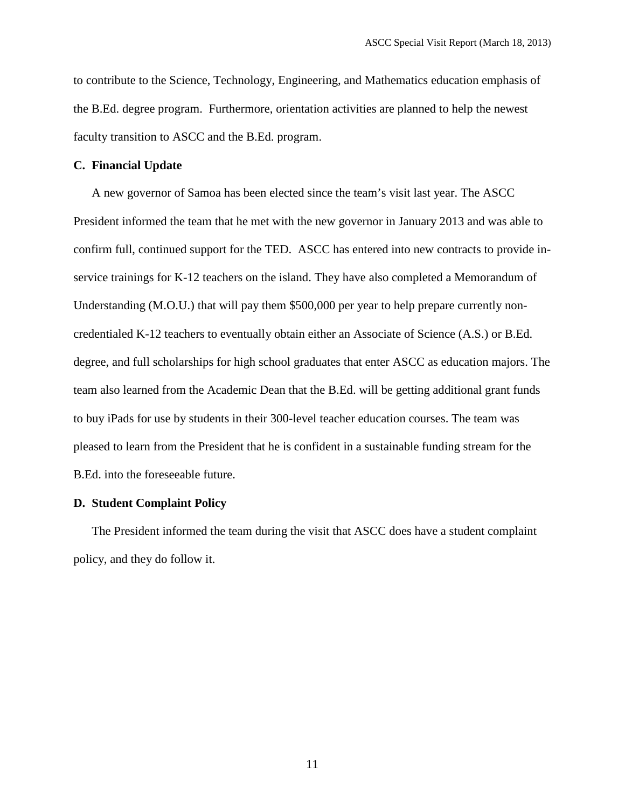to contribute to the Science, Technology, Engineering, and Mathematics education emphasis of the B.Ed. degree program. Furthermore, orientation activities are planned to help the newest faculty transition to ASCC and the B.Ed. program.

#### **C. Financial Update**

A new governor of Samoa has been elected since the team's visit last year. The ASCC President informed the team that he met with the new governor in January 2013 and was able to confirm full, continued support for the TED. ASCC has entered into new contracts to provide inservice trainings for K-12 teachers on the island. They have also completed a Memorandum of Understanding (M.O.U.) that will pay them \$500,000 per year to help prepare currently noncredentialed K-12 teachers to eventually obtain either an Associate of Science (A.S.) or B.Ed. degree, and full scholarships for high school graduates that enter ASCC as education majors. The team also learned from the Academic Dean that the B.Ed. will be getting additional grant funds to buy iPads for use by students in their 300-level teacher education courses. The team was pleased to learn from the President that he is confident in a sustainable funding stream for the B.Ed. into the foreseeable future.

#### **D. Student Complaint Policy**

The President informed the team during the visit that ASCC does have a student complaint policy, and they do follow it.